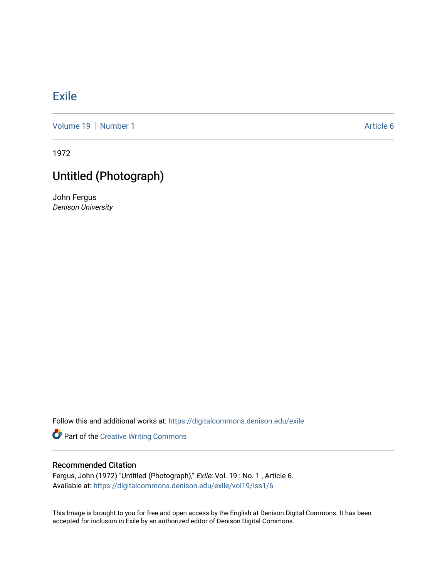## **[Exile](https://digitalcommons.denison.edu/exile)**

[Volume 19](https://digitalcommons.denison.edu/exile/vol19) | [Number 1](https://digitalcommons.denison.edu/exile/vol19/iss1) Article 6

1972

## Untitled (Photograph)

John Fergus Denison University

Follow this and additional works at: [https://digitalcommons.denison.edu/exile](https://digitalcommons.denison.edu/exile?utm_source=digitalcommons.denison.edu%2Fexile%2Fvol19%2Fiss1%2F6&utm_medium=PDF&utm_campaign=PDFCoverPages) 

Part of the [Creative Writing Commons](http://network.bepress.com/hgg/discipline/574?utm_source=digitalcommons.denison.edu%2Fexile%2Fvol19%2Fiss1%2F6&utm_medium=PDF&utm_campaign=PDFCoverPages) 

## Recommended Citation

Fergus, John (1972) "Untitled (Photograph)," Exile: Vol. 19 : No. 1 , Article 6. Available at: [https://digitalcommons.denison.edu/exile/vol19/iss1/6](https://digitalcommons.denison.edu/exile/vol19/iss1/6?utm_source=digitalcommons.denison.edu%2Fexile%2Fvol19%2Fiss1%2F6&utm_medium=PDF&utm_campaign=PDFCoverPages) 

This Image is brought to you for free and open access by the English at Denison Digital Commons. It has been accepted for inclusion in Exile by an authorized editor of Denison Digital Commons.